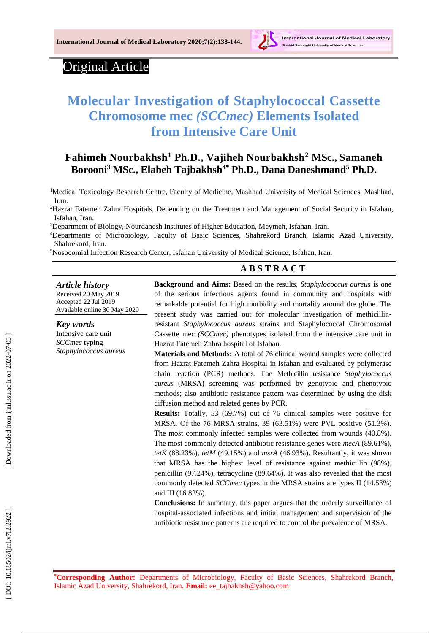

# Original Article

# **Molecular Investigation of Staphylococcal Cassette Chromosome mec** *(SCCmec)* **Elements Isolated from Intensive Care Unit**

# **Fahimeh Nourbakhsh <sup>1</sup> Ph.D., Vajiheh Nourbakhsh <sup>2</sup> MSc., Samaneh Borooni <sup>3</sup> MS c ., Elaheh Tajbakhsh4\* Ph.D., Dana Daneshmand <sup>5</sup> Ph.D.**

<sup>1</sup>Medical Toxicology Research Centre, Faculty of Medicine, Mashhad University of Medical Sciences, Mashhad, Iran.

<sup>2</sup>Hazrat Fatemeh Zahra Hospitals, Depending on the Treatment and Management of Social Security in Isfahan, Isfahan, Iran.

<sup>3</sup>Department of Biology, Nourdanesh Institutes of Higher Education, Meymeh, Isfahan, Iran.

<sup>4</sup>Departments of Microbiology, Faculty of Basic Sciences, Shahrekord Branch, Islamic Azad University, Shahrekord, Iran.

<sup>5</sup>Nosocomial Infection Research Center, Isfahan University of Medical Science, Isfahan, Iran.

### **A B S T R A C T**

*Article history* Received 2 0 May 201 9 Accepted 2 2 Jul 201 9 Available online 30 May 2020

*Key words* Intensive care unit *SCCmec* typing *Staphylococcus aureus* **Background and Aims:** Based on the results, *Staphylococcus aureus* is one of the serious infectious agents found in community and hospitals with remarkable potential for high morbidity and mortality around the globe. The present study was carried out for molecular investigation of methicillin  resistant *Staphylococcus aureus* strains and Staphylococcal Chromosomal Cassette mec *(SCCmec )* phenotypes isolated from the intensive care unit in Hazrat Fatemeh Zahra hospital of Isfahan.

**Materials and Methods:** A total of 76 clinical wound samples were collected from Hazrat Fatemeh Zahra Hospital in Isfahan and evaluated by polymerase chain reaction (PCR ) methods. The Methicillin resistance *Staphylococcus aureus* (MRSA ) screening was performed by genotypic and phenotypic methods; also antibiotic resistance pattern was determined by using the disk diffusion method and related genes by PCR .

**Results:** Totally, 53 (69.7%) out of 76 clinical samples were positive for MRSA. Of the 76 MRSA strains, 39 (63.51%) were PVL positive (51.3%). The most commonly infected samples were collected from wounds ( 40.8%). The most commonly detected antibiotic resistance genes were *mecA* (89.61%), *tetK* (88.23%), *tetM* (49.15%) and *msrA* (46.93%). Resultantly, it was shown that MRSA has the highest level of resistance against methicillin (98%), penicillin (97.24%), tetracycline (89.64%). It was also revealed that the most commonly detected *SCCmec* types in the MRSA strains are types II (14.53%) and III (16.82%).

**Conclusions:** In summary, this paper argues that the orderly surveillance of hospital -associated infections and initial management and supervision of the antibiotic resistance patterns are required to control the prevalence of MRSA.

**\*Corresponding Author:** Departments of Microbiology, Faculty of Basic Sciences, Shahrekord Branch, Islamic Azad University, Shahrekord, Iran. **Email:** ee\_tajbakhsh@yahoo.com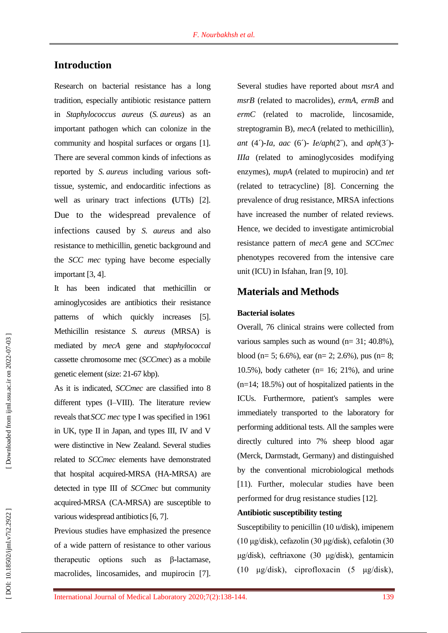# **Introduction**

Research on bacterial resistance has a long tradition, especially antibiotic resistance pattern in *Staphylococcus aureus*  (*S. aureus*) as an important pathogen which can colonize in the community and hospital surface s or organs [ 1 ]. There are several common kinds of infections as reported by *S. aureus* including various soft  tissue , systemic, and endocarditic infections as well as urinary tract infections (UTIs) [2]. Due to the widespread prevalence of infections caused by *S. aureus* and also resistance to methicillin, genetic background and the *SCC mec* typing have become especially important [3, 4].

It has been indicated that methicillin or aminoglycosides are antibiotics their resistance patterns of which quickly increases [5]. Methicillin resistance *S. aureus* (MRSA) is mediated by *mecA* gene and *staphylococcal* cassette chromosome mec (*SCCmec*) as a mobile genetic element (size: 21 **-**67 kbp) .

As it is indicated , *SCCmec* are classified into 8 different types (I–VIII). The literature review reveals that*SCC mec* type I was specified in 1961 in UK, type II in Japan, and types III, IV and V were distinctive in New Zealand. Several studies related to *SCCmec* elements have demonstrated that hospital acquired **-**MRSA (HA **-**MRSA) are detected in type III of *SCCmec* but community acquired **-**MRSA (CA **-**MRSA) are susceptible to various widespread antibiotics [6, 7 ] .

Previous studies have emphasized the presence of a wide pattern of resistance to other various therapeutic options such as β **-**lactamase, macrolides, lincosamides, and mupirocin [7].

Several studies have reported about *msrA* and *msrB* (related to macrolides), *ermA*, *ermB* and *ermC*  (related to macrolide, lincosamide, streptogramin B), *mecA*  (related to methicillin), *ant* (4´) **-***Ia*, *aac* (6´) **-** *Ie/aph*(2˝), and *aph*(3´) **-** *IIIa*  (related to aminoglycosides modifying enzymes), *mupA*  (related to mupirocin) and *tet*  (related to tetracycline) [ 8 ]. Concerning the prevalence of drug resistance, MRSA infections have increased the number of related reviews. Hence, we decided to investigate antimicrobial resistance pattern of *mecA* gene and *SCCmec*  phenotypes recovered from the intensive care unit (ICU) in Isfahan, Iran [9, 10].

## **Materials and Methods**

#### **Bacterial isolates**

Overall, 76 clinical strain s were collected from various samples such as wound (n= 31; 4 0.8%), blood (n= 5; 6. 6%), ear (n= 2; 2.6%), pus (n= 8; 10.5%), body catheter (n= 16; 21%), and urine (n=14; 18. 5%) out of hospitalized patients in the ICUs. Furthermore, patient's samples were immediately transported to the laboratory for performing additional tests. All the samples were directly cultured into 7% sheep blood agar (Merck, Darmstadt, Germany) and distinguished by the conventional microbiological methods [11). Further, molecular studies have been performed for drug resistance studies [12 ] .

#### **Antibiotic susceptibility testing**

Susceptibility to penicillin (10 u/disk), imipenem (10 μg/disk), cefazolin (30 μg/disk), cefalotin (30 μg/disk), ceftriaxone (30 μg/disk), gentamicin (10 μg/disk), ciprofloxacin (5 μg/disk),

DOI: 10.18502/ijml.v7i2.2922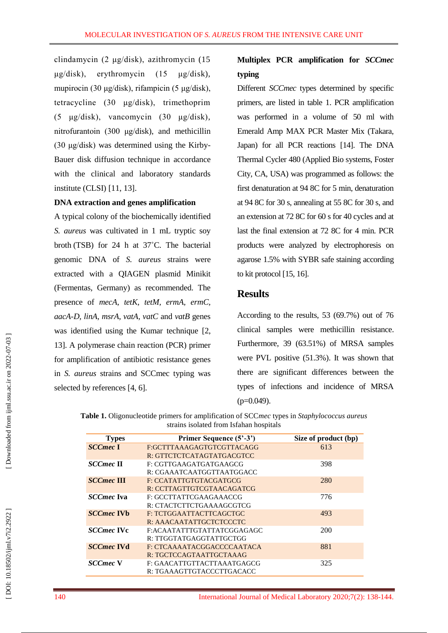clindamycin (2 μg/disk), azithromycin (15 μg/disk), erythromycin (15 μg/disk), mupirocin (30 μg/disk), rifampicin (5 μg/disk), tetracycline (30 μg/disk), trimethoprim (5 μg/disk), vancomycin (30 μg/disk) , nitrofurantoin (300 μg/disk), and methicillin (30 μg/disk) was determined using the Kirby - Bauer disk diffusion technique in accordance with the clinical and laboratory standards institute (CLSI) [11, 13].

#### **DNA extraction and genes amplification**

A typical colony of the biochemically identified *S. aureus* was cultivated in 1 mL tryptic soy broth (TSB) for 24 h at 37 ˚C. The bacterial genomic DNA of *S. aureus* strains were extracted with a QIAGEN plasmid Minikit (Fermentas, Germany) as recommended. The presence of *mecA, tetK, tetM, ermA, ermC, aacA -D, linA, msrA, vatA, vatC* and *vatB* genes was identified using the Kumar technique [2, 13 ]. A polymerase chain reaction (PCR) primer for amplification of antibiotic resistance genes in *S . aureus* strains and SCCmec typing was selected by references [4, 6].

# **Multiplex PCR amplification for** *SCCmec* **typing**

Different *SCCmec* types determined by specific primers, are listed in table 1. PCR amplification was performed in a volume of 50 ml with Emerald Amp MAX PCR Master Mix (Takara, Japan) for all PCR reactions [14 ]. The DNA Thermal Cycler 480 (Applied Bio systems, Foster City, CA, USA) was programmed as follows: the first denaturation at 94 8C for 5 min, denaturation at 94 8C for 30 s, annealing at 55 8C for 30 s, and an extension at 72 8C for 60 s for 40 cycles and at last the final extension at 72 8C for 4 min. PCR products were analyzed by electrophoresis on agarose 1.5% with SYBR safe staining according to kit protocol [15, 16 ].

# **Results**

According to the results, 53 (69.7%) out of 76 clinical samples were methicillin resistance. Furthermore , 39 (63.51%) of MRSA samples were PVL positive (51.3%). It was shown that there are significant difference s between the types of infections and incidence of MRSA  $(p=0.049)$ .

**Table 1.** Oligonucleotide primers for amplification of SCC*mec* types in *Staphylococcus aureus* strains isolated from Isfahan hospital s

| <b>Types</b>      | Primer Sequence (5'-3')    | Size of product (bp) |
|-------------------|----------------------------|----------------------|
| <b>SCCmec I</b>   | F:GCTTTAAAGAGTGTCGTTACAGG  | 613                  |
|                   | R: GTTCTCTCATAGTATGACGTCC  |                      |
| <b>SCCmec II</b>  | F: CGTTGAAGATGATGAAGCG     | 398                  |
|                   | R: CGAAATCAATGGTTAATGGACC  |                      |
| <b>SCCmec III</b> | F: CCATATTGTGTACGATGCG     | 280                  |
|                   | R: CCTTAGTTGTCGTAACAGATCG  |                      |
| <i>SCCmec</i> Iva | F: GCCTTATTCGAAGAAACCG     | 776                  |
|                   | R: CTACTCTTCTGAAAAGCGTCG   |                      |
| <b>SCCmec IVb</b> | F: TCTGGAATTACTTCAGCTGC    | 493                  |
|                   | R: AAACAATATTGCTCTCCCTC    |                      |
| <i>SCCmec IVc</i> | F:ACAATATTTGTATTATCGGAGAGC | 200                  |
|                   | R: TTGGTATGAGGTATTGCTGG    |                      |
| <b>SCCmec IVd</b> | F: CTCAAAATACGGACCCCAATACA | 881                  |
|                   | R: TGCTCCAGTAATTGCTAAAG    |                      |
| <b>SCCmec V</b>   | F: GAACATTGTTACTTAAATGAGCG | 325                  |
|                   | R: TGAAAGTTGTACCCTTGACACC  |                      |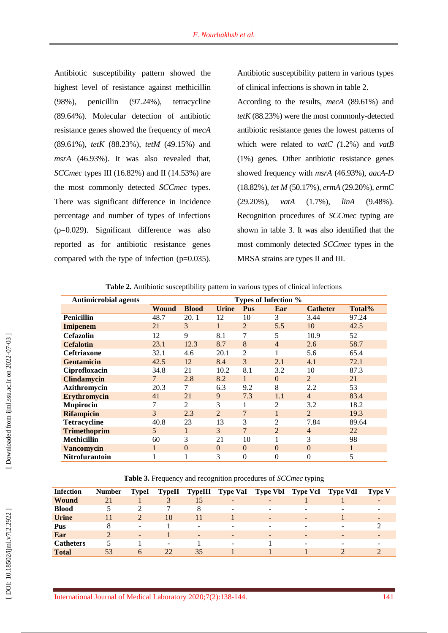Antibiotic susceptibility pattern showed the highest level of resistance against methicillin (98%), penicillin (97.24%), tetracycline (89.64%). Molecular detection of antibiotic resistance genes showed the frequency of *mecA* (89.61%), *tetK* (88.23%), *tetM* (49.15%) and msrA (46.93%). It was also revealed that, *SCCmec* types III (16.82%) and II (14.53%) are the most commonly detected *SCCmec* types . There was significant difference in incidence percentage and number of types of infections (p=0.029) . Significant difference was also reported as for antibiotic resistance genes compared with the type of infection (p=0.035). Antibiotic susceptibility pattern in various types of clinical infections is show n in table 2 .

According to the results, *mecA* (89.61%) and *tetK* (88.23%) were the most commonly -detected antibiotic resistance genes the lowest patterns of which were related to *vatC (*1.2%) and *vatB* (1%) genes. Other antibiotic resistance genes showed frequency with *msrA* (46.93%), *aacA - D* (18.82%), *tet M* (50.17%), *ermA* (29.20%), *ermC* (29.20%), *vatA* (1.7%), *linA* (9.48%). Recognition procedures of *SCCmec* typing are shown in table 3. It was also identified that the most commonly detected *SCCmec* types in the MRSA strains are types II and III.

| <b>Antimicrobial agents</b> | Types of Infection % |              |                |                |                |                 |        |
|-----------------------------|----------------------|--------------|----------------|----------------|----------------|-----------------|--------|
|                             | Wound                | <b>Blood</b> | <b>Urine</b>   | Pus            | Ear            | <b>Catheter</b> | Total% |
| <b>Penicillin</b>           | 48.7                 | 20.1         | 12             | 10             | 3              | 3.44            | 97.24  |
| <b>Imipenem</b>             | 21                   | 3            | $\mathbf{1}$   | 2              | 5.5            | 10              | 42.5   |
| <b>Cefazolin</b>            | 12                   | 9            | 8.1            | 7              | 5              | 10.9            | 52     |
| <b>Cefalotin</b>            | 23.1                 | 12.3         | 8.7            | 8              | $\overline{4}$ | 2.6             | 58.7   |
| <b>Ceftriaxone</b>          | 32.1                 | 4.6          | 20.1           | 2              | 1              | 5.6             | 65.4   |
| <b>Gentamicin</b>           | 42.5                 | 12           | 8.4            | 3              | 2.1            | 4.1             | 72.1   |
| Ciprofloxacin               | 34.8                 | 21           | 10.2           | 8.1            | 3.2            | 10              | 87.3   |
| <b>Clindamycin</b>          | 7                    | 2.8          | 8.2            | $\mathbf{1}$   | $\Omega$       | $\overline{2}$  | 21     |
| Azithromycin                | 20.3                 | 7            | 6.3            | 9.2            | 8              | 2.2             | 53     |
| <b>Erythromycin</b>         | 41                   | 21           | 9              | 7.3            | 1.1            | $\overline{4}$  | 83.4   |
| <b>Mupirocin</b>            |                      | 2            | 3              | 1              | $\overline{2}$ | 3.2             | 18.2   |
| <b>Rifampicin</b>           | 3                    | 2.3          | $\overline{2}$ | $\overline{7}$ | $\mathbf{1}$   | 2               | 19.3   |
| <b>Tetracycline</b>         | 40.8                 | 23           | 13             | 3              | 2              | 7.84            | 89.64  |
| <b>Trimethoprim</b>         | 5                    | $\mathbf{1}$ | 3              | 7              | $\overline{2}$ | $\overline{4}$  | 22     |
| <b>Methicillin</b>          | 60                   | 3            | 21             | 10             |                | 3               | 98     |
| <b>Vancomycin</b>           |                      | $\Omega$     | $\overline{0}$ | $\theta$       | $\Omega$       | $\Omega$        | 1      |
| <b>Nitrofurantoin</b>       |                      | 1            | 3              | $\overline{0}$ | 0              | $\theta$        | 5      |

**Table 2 .** Antibiotic susceptibility pattern in various types of clinical infections

**Table 3.** Frequency and recognition procedures of *SCCmec* typing

| <b>Infection</b> | <b>Number</b> | TypeI                    | <b>TypeII</b>            | TypeIII                  | <b>Type Val</b>          | <b>Type VbI</b>          | Type VcI                 | <b>Type VdI</b>          | <b>Type V</b>            |
|------------------|---------------|--------------------------|--------------------------|--------------------------|--------------------------|--------------------------|--------------------------|--------------------------|--------------------------|
| <b>Wound</b>     | 21            |                          |                          | 15                       | $\qquad \qquad$          | $\overline{\phantom{0}}$ |                          |                          | -                        |
| <b>Blood</b>     |               |                          |                          |                          | $\overline{\phantom{a}}$ | $\overline{\phantom{0}}$ | $\,$                     | $\overline{\phantom{0}}$ |                          |
| <b>Urine</b>     |               |                          | 10                       | 11                       |                          | $\sim$                   | $\overline{\phantom{a}}$ |                          | $\overline{\phantom{a}}$ |
| Pus              |               | $\overline{\phantom{a}}$ |                          | $\blacksquare$           | $\overline{\phantom{a}}$ | $\overline{\phantom{0}}$ | $\overline{\phantom{a}}$ | $\overline{\phantom{a}}$ |                          |
| Ear              |               | $\overline{\phantom{a}}$ |                          | $\overline{\phantom{a}}$ | $\overline{\phantom{0}}$ | $\overline{\phantom{0}}$ | $\qquad \qquad$          | $\sim$                   |                          |
| <b>Catheters</b> |               |                          | $\overline{\phantom{a}}$ |                          | $\overline{\phantom{a}}$ |                          | $\,$                     | $\overline{\phantom{0}}$ |                          |
| <b>Total</b>     | 53            | <sub>b</sub>             | 22.                      | 35                       |                          |                          |                          |                          |                          |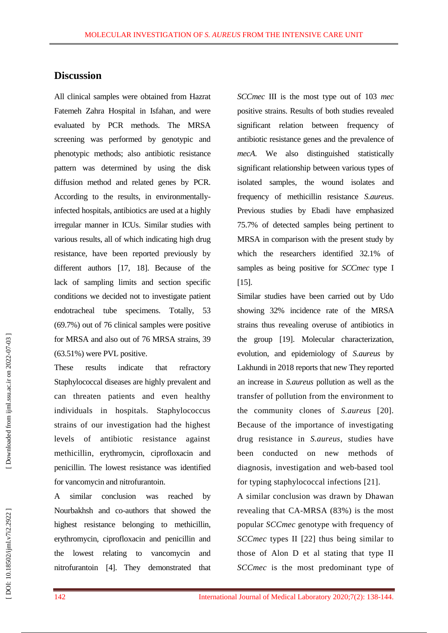# **Discussion**

All clinical samples were obtained from Hazrat Fatemeh Zahra Hospital in Isfahan , and were evaluated by PCR methods. The MRSA screening was performed by genotypic and phenotypic methods; also antibiotic resistance pattern was determined by using the disk diffusion method and related genes by PCR. According to the results, in environmentally infected hospitals, antibiotics are used at a highly irregular manner in ICU s. Similar studies with various results, all of which indicating high drug resistance , have been reported previously by different authors [17, 18 ] . Because of the lack of sampling limits and section specific conditions we decided not to investigate patient endotracheal tube specimens. Totally, 53 (69.7%) out of 76 clinical samples were positive for MRSA and also out of 76 MRSA strains, 39 (63.51%) were PVL positive.

These results indicate that refractory Staphylococcal diseases are highly prevalent and can threaten patients and even healthy individuals in hospitals. Staphylococcus strains of our investigation had the highest levels of antibiotic resistance against methicillin, erythromycin, ciprofloxacin and penicillin. The lowest resistance was identified for vancomycin and nitrofurantoin .

A similar conclusion was reached by Nourbakhsh and co-authors that showed the highest resistance belonging to methicillin , erythromycin, ciprofloxacin and penicillin and the lowest relating to vancomycin and nitrofurantoin [ 4 ] . They demonstrated that *SCCmec* III is the most type out of 103 *mec* positive strains. Results of both studies revealed significant relation between frequency of antibiotic resistance genes and the prevalence of *mecA*. We also distinguished statistically significant relationship between various types of isolated samples, the wound isolates and frequency of methicillin resistance *S.aureus*. Previous studies by [Ebadi](http://ijml.ssu.ac.ir/search.php?sid=1&slc_lang=en&auth=Ebadi) have emphasized 75.7% of detected samples being pertinent to MRSA in comparison with the present study by which the researchers identified 32.1% of samples as being positive for *SCCmec* type I [15].

Similar studies have been carried out by Udo showing 32% incidence rate of the MRSA strains thus revealing overuse of antibiotics in the group [19 ]. Molecular characterization, evolution, and epidemiology of *S.aureus* by Lakhundi in 2018 reports that new They reported an increase in *S.aureus* pollution as well as the transfer of pollution from the environment to the community clones of *S.aureus*  [20 ]. Because of the importance of investigating drug resistance in *S.aureus*, studies have been conducted on new methods of diagnosis, investigation and we b -based tool for typing staphylococcal infections [21 ] .

A similar conclusion was drawn by [Dhawan](https://www.ncbi.nlm.nih.gov/pubmed/?term=Dhawan%20B%5BAuthor%5D&cauthor=true&cauthor_uid=24690229) revealing that CA -MRSA (83%) is the most popular *SCCmec* genotype with frequency of *SCCmec* types II [22 ] thus being similar to those of [Alon D](https://www.ncbi.nlm.nih.gov/pubmed/?term=Alon%20D%5BAuthor%5D&cauthor=true&cauthor_uid=21479839) et al stating that type II *SCCmec* is the most predominant type of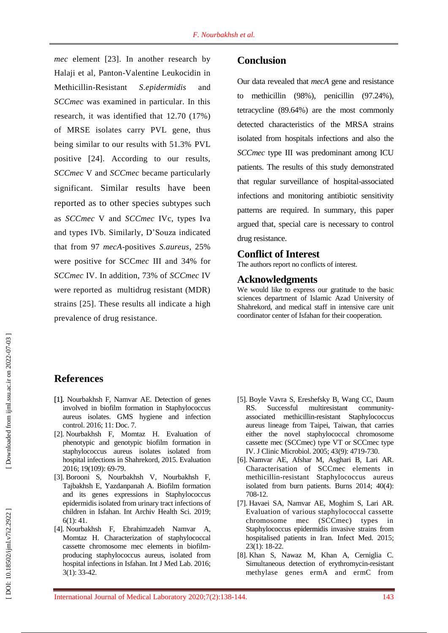*mec* element [23 ]. In another research by [Halaji](https://www.ncbi.nlm.nih.gov/pubmed/?term=Halaji%20M%5BAuthor%5D&cauthor=true&cauthor_uid=28892893) et al, Panton -Valentine Leukocidin in Methicillin-Resistant -Resistant *S.epidermidis* and *SCCmec* was examined in particular. In this research , it was identified that 12 .70 (17%) of MRSE isolate s carry PVL gene , thus being similar to our results with 51.3% PVL positive [24 ]. According to our results, *SCCmec* V and *SCCmec* became particularly significant. Similar results have been reported as to other species subtypes such as *SCCmec* V and *SCCmec* IVc, types Iva and types IVb. Similarly , D'Souza indicated that from 97 *mecA* -positives *S.aureus*, 25% were positive for SCC*mec* III and 34% for *SCCmec* IV. In addition , 73% of *SCCmec* IV were reported as multidrug resistant (MDR) strains [25 ]. These results all indicate a high prevalence of drug resistance.

# **Conclusion**

Our data revealed that *mecA* gene and resistance to methicillin (98%), penicillin (97.24%), tetracycline (89.64%) are the most commonly detected characteristics of the MRSA strains isolated from hospitals infections and also the *SCCmec* type III was predominant among ICU patients . The results of this study demonstrated that regular surveillance of hospital -associated infections and monitoring antibiotic sensitivity patterns are required. In summary, this paper argued that, special care is necessary to control drug resistance .

### **Conflict of Interest**

The authors report no conflicts of interest.

#### **Acknowledgments**

We would like to express our gratitude to the basic sciences department of Islamic Azad University of Shahrekord, and medical staff in intensive care unit coordinator center of Isfahan for their cooperation.

## **References**

- [1]. Nourbakhsh F, Namvar AE. Detection of genes involved in biofilm formation in Staphylococcus aureus isolates. GMS hygiene and infection control. 2016; 11: Doc. 7 .
- [ 2]. Nourbakhsh F, Momtaz H. Evaluation of phenotypic and genotypic biofilm formation in staphylococcus aureus isolates isolated from hospital infections in Shahrekord, 2015. Evaluation 2016; 19(109): 69 -79.
- [ 3]. Borooni S, Nourbakhsh V, Nourbakhsh F, Tajbakhsh E, Yazdanpanah A. Biofilm formation and its genes expressions in Staphylococcus epidermidis isolated from urinary tract infections of children in Isfahan. Int Archiv Health Sci. 2019; 6(1): 41.
- [ 4]. Nourbakhsh F, Ebrahimzadeh Namvar A, Momtaz H. Characterization of staphylococcal cassette chromosome mec elements in biofilm producing staphylococcus aureus, isolated from hospital infections in Isfahan. Int J Med Lab. 2016; 3(1): 33 -42.
- [ 5]. Boyle Vavra S, Ereshefsky B, Wang CC, Daum RS. Successful multiresistant communityassociated methicillin -resistant Staphylococcus aureus lineage from Taipei, Taiwan, that carries either the novel staphylococcal chromosome cassette mec (SCCmec) type VT or SCCmec type IV. J Clinic Microbiol. 2005; 43(9): 4719 - 730.
- [ 6]. Namvar AE, Afshar M, Asghari B, Lari AR. Characterisation of SCCmec elements in methicillin -resistant Staphylococcus aureus isolated from burn patients. Burns 2014; 40(4): 708 -12.
- [ 7]. Havaei SA, Namvar AE, Moghim S, Lari AR. Evaluation of various staphylococcal cassette chromosome mec (SCCmec) types in Staphylococcus epidermidis invasive strains from hospitalised patients in Iran. Infect Med. 2015; 23(1): 18 -22.
- [ 8]. Khan S, Nawaz M, Khan A, Cerniglia C. Simultaneous detection of erythromycin -resistant methylase genes ermA and ermC from